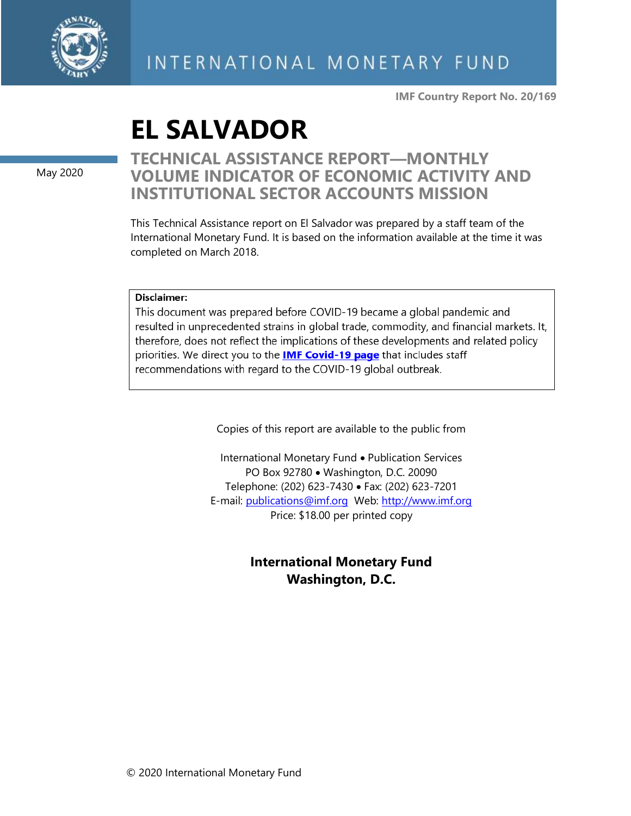

**IMF Country Report No. 20/169**

# **EL SALVADOR**

May 2020

## **TECHNICAL ASSISTANCE REPORT—MONTHLY VOLUME INDICATOR OF ECONOMIC ACTIVITY AND INSTITUTIONAL SECTOR ACCOUNTS MISSION**

This Technical Assistance report on El Salvador was prepared by a staff team of the International Monetary Fund. It is based on the information available at the time it was completed on March 2018.

#### Disclaimer:

This document was prepared before COVID-19 became a global pandemic and resulted in unprecedented strains in global trade, commodity, and financial markets. It, therefore, does not reflect the implications of these developments and related policy priorities. We direct you to the **IMF Covid-19 page** that includes staff recommendations with regard to the COVID-19 global outbreak.

Copies of this report are available to the public from

International Monetary Fund • Publication Services PO Box 92780 • Washington, D.C. 20090 Telephone: (202) 623-7430 • Fax: (202) 623-7201 E-mail: [publications@imf.org](mailto:publications@imf.org) Web: [http://www.imf.org](http://www.imf.org/) Price: \$18.00 per printed copy

### **International Monetary Fund Washington, D.C.**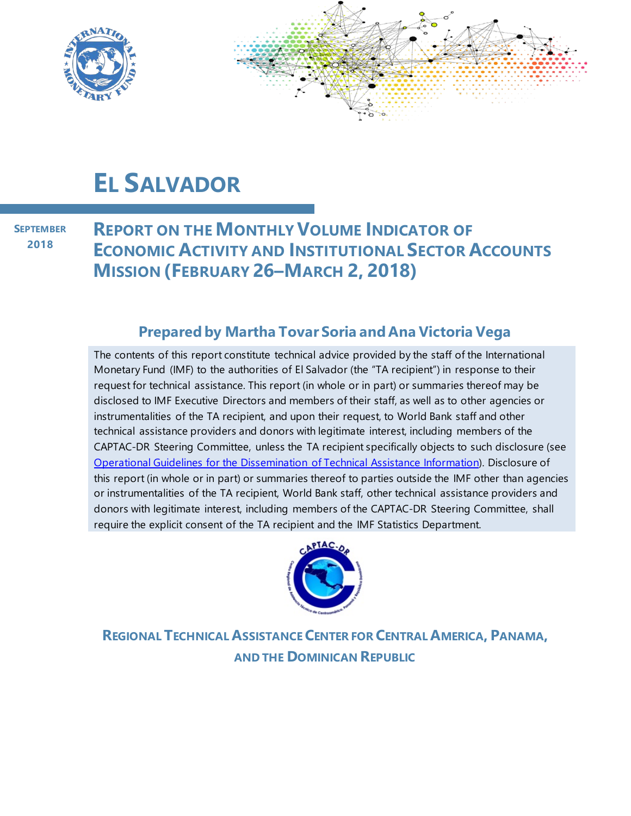

# **EL SALVADOR**

**SEPTEMBER 2018**

**REPORT ON THE MONTHLY VOLUME INDICATOR OF ECONOMIC ACTIVITY AND INSTITUTIONAL SECTOR ACCOUNTS MISSION (FEBRUARY 26–MARCH 2, 2018)**

### **Prepared by Martha Tovar Soria and Ana Victoria Vega**

The contents of this report constitute technical advice provided by the staff of the International Monetary Fund (IMF) to the authorities of El Salvador (the "TA recipient") in response to their request for technical assistance. This report (in whole or in part) or summaries thereof may be disclosed to IMF Executive Directors and members of their staff, as well as to other agencies or instrumentalities of the TA recipient, and upon their request, to World Bank staff and other technical assistance providers and donors with legitimate interest, including members of the CAPTAC-DR Steering Committee, unless the TA recipient specifically objects to such disclosure (see [Operational Guidelines for the Dissemination of Technical Assistance Information\)](http://www.imf.org/external/np/pp/eng/2013/061013.pdf). Disclosure of this report (in whole or in part) or summaries thereof to parties outside the IMF other than agencies or instrumentalities of the TA recipient, World Bank staff, other technical assistance providers and donors with legitimate interest, including members of the CAPTAC-DR Steering Committee, shall require the explicit consent of the TA recipient and the IMF Statistics Department.



**REGIONAL TECHNICAL ASSISTANCE CENTER FOR CENTRAL AMERICA, PANAMA, AND THE DOMINICAN REPUBLIC**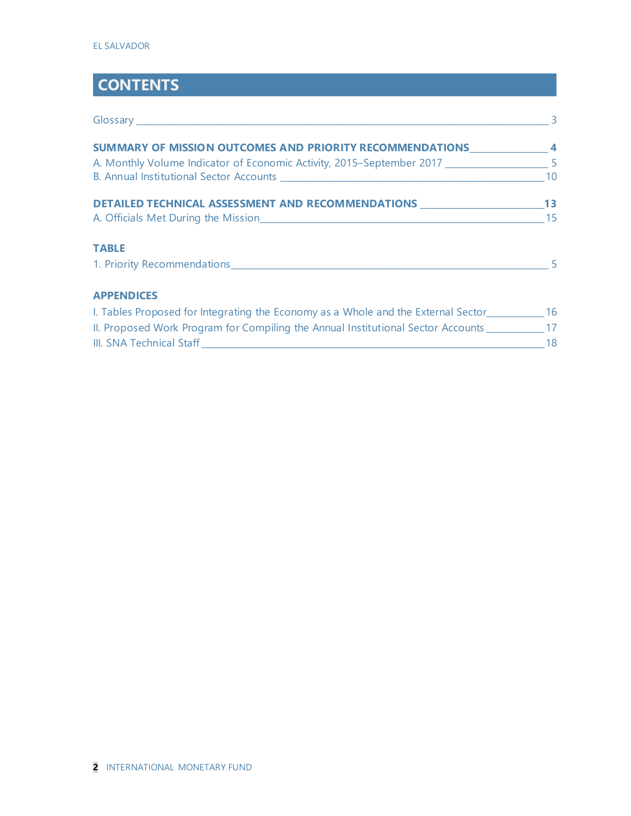# **CONTENTS**

| Glossary entertainment and the contract of the contract of the contract of the contract of the contract of the | $\overline{3}$ |
|----------------------------------------------------------------------------------------------------------------|----------------|
| SUMMARY OF MISSION OUTCOMES AND PRIORITY RECOMMENDATIONS 4                                                     |                |
| A. Monthly Volume Indicator of Economic Activity, 2015-September 2017 ________________________5                |                |
|                                                                                                                | 10             |
| DETAILED TECHNICAL ASSESSMENT AND RECOMMENDATIONS _____________________________13                              |                |
|                                                                                                                | 15             |
| <b>TABLE</b>                                                                                                   |                |
| 1. Priority Recommendations 55 and 200 million and 200 million and 200 million and 200 million and 200 million |                |
| <b>APPENDICES</b>                                                                                              |                |
| I. Tables Proposed for Integrating the Economy as a Whole and the External Sector___________________ 16        |                |
| II. Proposed Work Program for Compiling the Annual Institutional Sector Accounts ____________ 17               |                |
|                                                                                                                | 18             |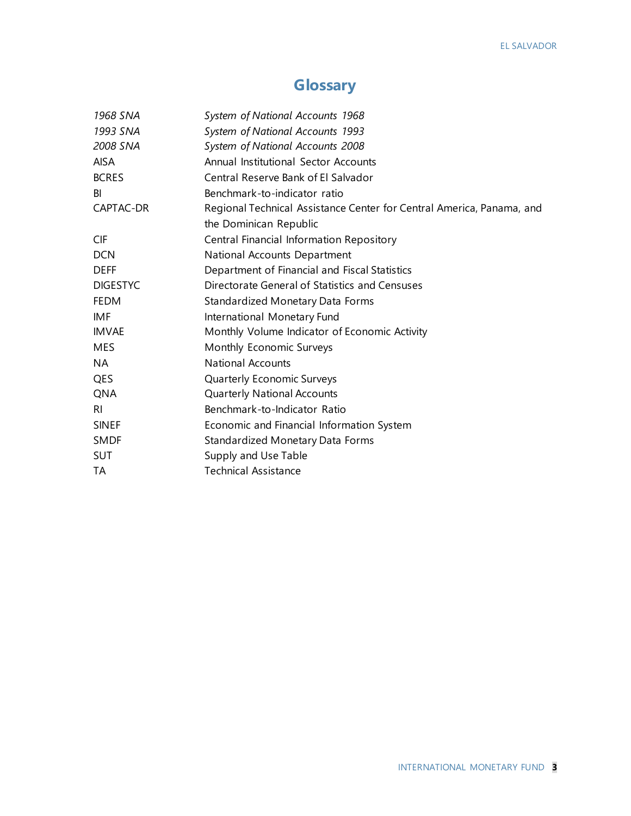# **Glossary**

| 1968 SNA        | System of National Accounts 1968                                      |
|-----------------|-----------------------------------------------------------------------|
| 1993 SNA        | System of National Accounts 1993                                      |
| 2008 SNA        | System of National Accounts 2008                                      |
| <b>AISA</b>     | Annual Institutional Sector Accounts                                  |
| <b>BCRES</b>    | Central Reserve Bank of El Salvador                                   |
| BI              | Benchmark-to-indicator ratio                                          |
| CAPTAC-DR       | Regional Technical Assistance Center for Central America, Panama, and |
|                 | the Dominican Republic                                                |
| <b>CIF</b>      | Central Financial Information Repository                              |
| <b>DCN</b>      | National Accounts Department                                          |
| <b>DEFF</b>     | Department of Financial and Fiscal Statistics                         |
| <b>DIGESTYC</b> | Directorate General of Statistics and Censuses                        |
| <b>FEDM</b>     | Standardized Monetary Data Forms                                      |
| <b>IMF</b>      | International Monetary Fund                                           |
| <b>IMVAE</b>    | Monthly Volume Indicator of Economic Activity                         |
| <b>MES</b>      | Monthly Economic Surveys                                              |
| <b>NA</b>       | <b>National Accounts</b>                                              |
| <b>QES</b>      | Quarterly Economic Surveys                                            |
| QNA             | Quarterly National Accounts                                           |
| R <sub>l</sub>  | Benchmark-to-Indicator Ratio                                          |
| <b>SINEF</b>    | Economic and Financial Information System                             |
| <b>SMDF</b>     | <b>Standardized Monetary Data Forms</b>                               |
| <b>SUT</b>      | Supply and Use Table                                                  |
| <b>TA</b>       | <b>Technical Assistance</b>                                           |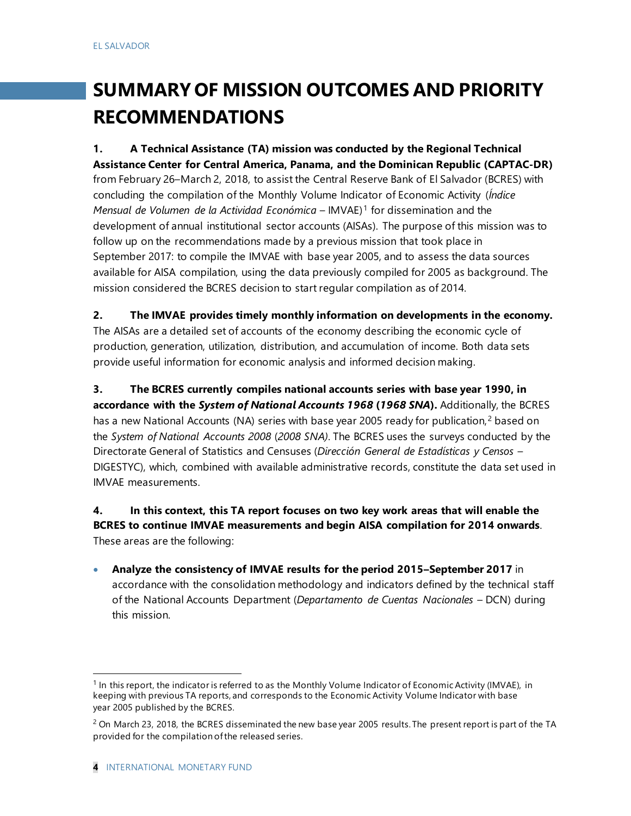# **SUMMARY OF MISSION OUTCOMES AND PRIORITY RECOMMENDATIONS**

**1. A Technical Assistance (TA) mission was conducted by the Regional Technical Assistance Center for Central America, Panama, and the Dominican Republic (CAPTAC-DR)**  from February 26–March 2, 2018, to assist the Central Reserve Bank of El Salvador (BCRES) with concluding the compilation of the Monthly Volume Indicator of Economic Activity (*Índice Mensual de Volumen de la Actividad Económica* – IMVAE)[1](#page-4-0) for dissemination and the development of annual institutional sector accounts (AISAs). The purpose of this mission was to follow up on the recommendations made by a previous mission that took place in September 2017: to compile the IMVAE with base year 2005, and to assess the data sources available for AISA compilation, using the data previously compiled for 2005 as background. The mission considered the BCRES decision to start regular compilation as of 2014.

**2. The IMVAE provides timely monthly information on developments in the economy.**  The AISAs are a detailed set of accounts of the economy describing the economic cycle of production, generation, utilization, distribution, and accumulation of income. Both data sets provide useful information for economic analysis and informed decision making.

**3. The BCRES currently compiles national accounts series with base year 1990, in accordance with the** *System of National Accounts 1968* **(***1968 SNA***).** Additionally, the BCRES has a new National Accounts (NA) series with base year [2](#page-4-1)005 ready for publication,<sup>2</sup> based on the *System of National Accounts 2008* (*2008 SNA)*. The BCRES uses the surveys conducted by the Directorate General of Statistics and Censuses (*Dirección General de Estadísticas y Censos* – DIGESTYC), which, combined with available administrative records, constitute the data set used in IMVAE measurements.

**4. In this context, this TA report focuses on two key work areas that will enable the BCRES to continue IMVAE measurements and begin AISA compilation for 2014 onwards**. These areas are the following:

• **Analyze the consistency of IMVAE results for the period 2015–September 2017** in accordance with the consolidation methodology and indicators defined by the technical staff of the National Accounts Department (*Departamento de Cuentas Nacionales* – DCN) during this mission.

<span id="page-4-0"></span> $1$  In this report, the indicator is referred to as the Monthly Volume Indicator of Economic Activity (IMVAE), in keeping with previous TA reports, and corresponds to the Economic Activity Volume Indicator with base year 2005 published by the BCRES.

<span id="page-4-1"></span> $2$  On March 23, 2018, the BCRES disseminated the new base year 2005 results. The present report is part of the TA provided for the compilation of the released series.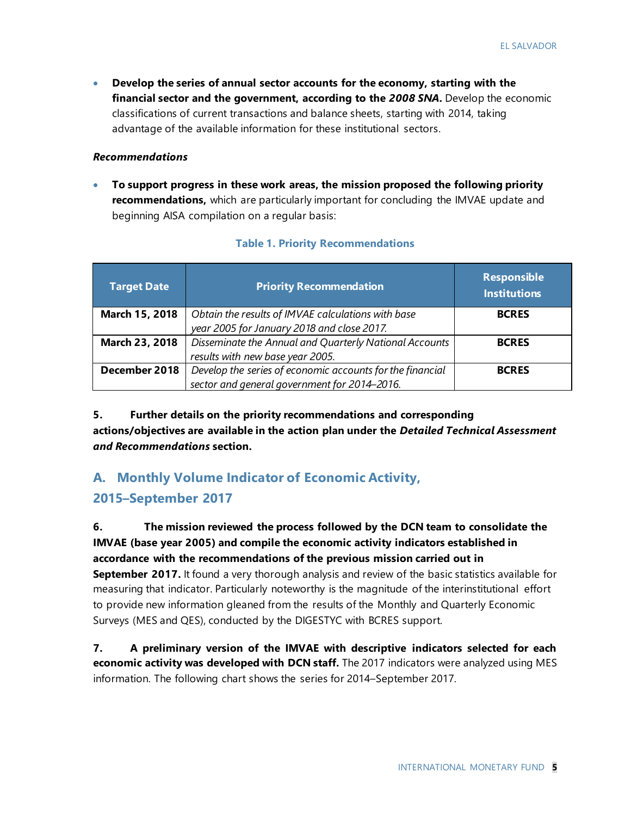• **Develop the series of annual sector accounts for the economy, starting with the financial sector and the government, according to the** *2008 SNA***.** Develop the economic classifications of current transactions and balance sheets, starting with 2014, taking advantage of the available information for these institutional sectors.

#### *Recommendations*

• **To support progress in these work areas, the mission proposed the following priority recommendations,** which are particularly important for concluding the IMVAE update and beginning AISA compilation on a regular basis:

| Target Date    | <b>Priority Recommendation</b>                            | <b>Responsible</b><br><b>Institutions</b> |
|----------------|-----------------------------------------------------------|-------------------------------------------|
| March 15, 2018 | Obtain the results of IMVAE calculations with base        | <b>BCRES</b>                              |
|                | year 2005 for January 2018 and close 2017.                |                                           |
| March 23, 2018 | Disseminate the Annual and Quarterly National Accounts    | <b>BCRES</b>                              |
|                | results with new base year 2005.                          |                                           |
| December 2018  | Develop the series of economic accounts for the financial | <b>BCRES</b>                              |
|                | sector and general government for 2014-2016.              |                                           |

#### **Table 1. Priority Recommendations**

**5. Further details on the priority recommendations and corresponding actions/objectives are available in the action plan under the** *Detailed Technical Assessment and Recommendations* **section.**

### **A. Monthly Volume Indicator of Economic Activity, 2015–September 2017**

**6. The mission reviewed the process followed by the DCN team to consolidate the IMVAE (base year 2005) and compile the economic activity indicators established in accordance with the recommendations of the previous mission carried out in September 2017.** It found a very thorough analysis and review of the basic statistics available for

measuring that indicator. Particularly noteworthy is the magnitude of the interinstitutional effort to provide new information gleaned from the results of the Monthly and Quarterly Economic Surveys (MES and QES), conducted by the DIGESTYC with BCRES support.

**7. A preliminary version of the IMVAE with descriptive indicators selected for each economic activity was developed with DCN staff.** The 2017 indicators were analyzed using MES information. The following chart shows the series for 2014–September 2017.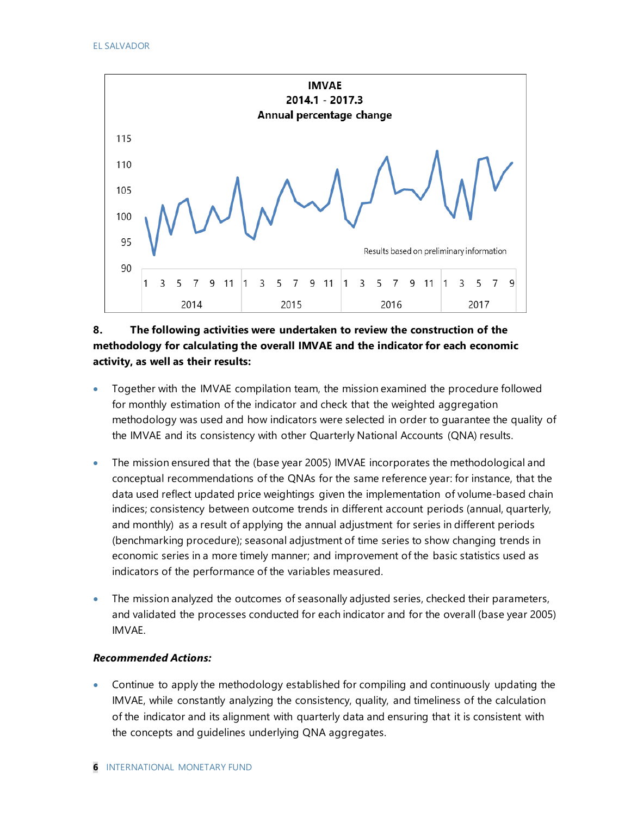

#### **8. The following activities were undertaken to review the construction of the methodology for calculating the overall IMVAE and the indicator for each economic activity, as well as their results:**

- Together with the IMVAE compilation team, the mission examined the procedure followed for monthly estimation of the indicator and check that the weighted aggregation methodology was used and how indicators were selected in order to guarantee the quality of the IMVAE and its consistency with other Quarterly National Accounts (QNA) results.
- The mission ensured that the (base year 2005) IMVAE incorporates the methodological and conceptual recommendations of the QNAs for the same reference year: for instance, that the data used reflect updated price weightings given the implementation of volume-based chain indices; consistency between outcome trends in different account periods (annual, quarterly, and monthly) as a result of applying the annual adjustment for series in different periods (benchmarking procedure); seasonal adjustment of time series to show changing trends in economic series in a more timely manner; and improvement of the basic statistics used as indicators of the performance of the variables measured.
- The mission analyzed the outcomes of seasonally adjusted series, checked their parameters, and validated the processes conducted for each indicator and for the overall (base year 2005) IMVAE.

#### *Recommended Actions:*

• Continue to apply the methodology established for compiling and continuously updating the IMVAE, while constantly analyzing the consistency, quality, and timeliness of the calculation of the indicator and its alignment with quarterly data and ensuring that it is consistent with the concepts and guidelines underlying QNA aggregates.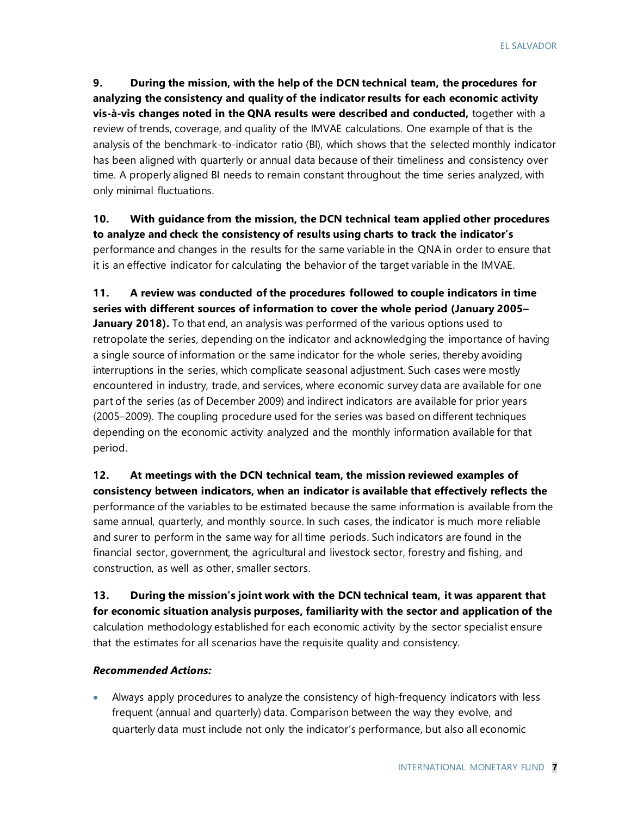**9. During the mission, with the help of the DCN technical team, the procedures for analyzing the consistency and quality of the indicator results for each economic activity vis-à-vis changes noted in the QNA results were described and conducted,** together with a review of trends, coverage, and quality of the IMVAE calculations. One example of that is the analysis of the benchmark-to-indicator ratio (BI), which shows that the selected monthly indicator has been aligned with quarterly or annual data because of their timeliness and consistency over time. A properly aligned BI needs to remain constant throughout the time series analyzed, with only minimal fluctuations.

**10. With guidance from the mission, the DCN technical team applied other procedures to analyze and check the consistency of results using charts to track the indicator's**  performance and changes in the results for the same variable in the QNA in order to ensure that it is an effective indicator for calculating the behavior of the target variable in the IMVAE.

**11. A review was conducted of the procedures followed to couple indicators in time series with different sources of information to cover the whole period (January 2005– January 2018).** To that end, an analysis was performed of the various options used to retropolate the series, depending on the indicator and acknowledging the importance of having a single source of information or the same indicator for the whole series, thereby avoiding interruptions in the series, which complicate seasonal adjustment. Such cases were mostly encountered in industry, trade, and services, where economic survey data are available for one part of the series (as of December 2009) and indirect indicators are available for prior years (2005–2009). The coupling procedure used for the series was based on different techniques depending on the economic activity analyzed and the monthly information available for that period.

**12. At meetings with the DCN technical team, the mission reviewed examples of consistency between indicators, when an indicator is available that effectively reflects the**  performance of the variables to be estimated because the same information is available from the same annual, quarterly, and monthly source. In such cases, the indicator is much more reliable and surer to perform in the same way for all time periods. Such indicators are found in the financial sector, government, the agricultural and livestock sector, forestry and fishing, and construction, as well as other, smaller sectors.

**13. During the mission's joint work with the DCN technical team, it was apparent that for economic situation analysis purposes, familiarity with the sector and application of the**  calculation methodology established for each economic activity by the sector specialist ensure that the estimates for all scenarios have the requisite quality and consistency.

#### *Recommended Actions:*

• Always apply procedures to analyze the consistency of high-frequency indicators with less frequent (annual and quarterly) data. Comparison between the way they evolve, and quarterly data must include not only the indicator's performance, but also all economic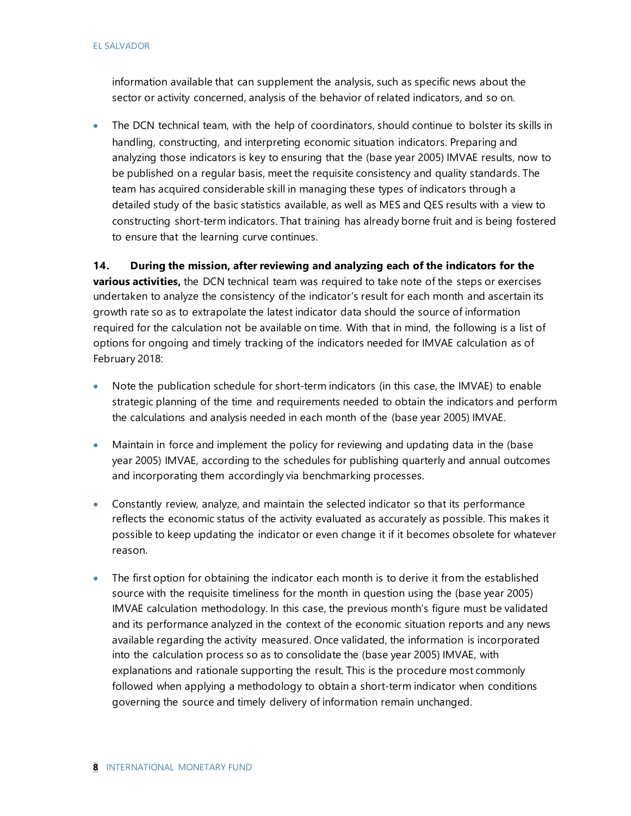#### EL SALVADOR

information available that can supplement the analysis, such as specific news about the sector or activity concerned, analysis of the behavior of related indicators, and so on.

• The DCN technical team, with the help of coordinators, should continue to bolster its skills in handling, constructing, and interpreting economic situation indicators. Preparing and analyzing those indicators is key to ensuring that the (base year 2005) IMVAE results, now to be published on a regular basis, meet the requisite consistency and quality standards. The team has acquired considerable skill in managing these types of indicators through a detailed study of the basic statistics available, as well as MES and QES results with a view to constructing short-term indicators. That training has already borne fruit and is being fostered to ensure that the learning curve continues.

**14. During the mission, after reviewing and analyzing each of the indicators for the various activities,** the DCN technical team was required to take note of the steps or exercises undertaken to analyze the consistency of the indicator's result for each month and ascertain its growth rate so as to extrapolate the latest indicator data should the source of information required for the calculation not be available on time. With that in mind, the following is a list of options for ongoing and timely tracking of the indicators needed for IMVAE calculation as of February 2018:

- Note the publication schedule for short-term indicators (in this case, the IMVAE) to enable strategic planning of the time and requirements needed to obtain the indicators and perform the calculations and analysis needed in each month of the (base year 2005) IMVAE.
- Maintain in force and implement the policy for reviewing and updating data in the (base year 2005) IMVAE, according to the schedules for publishing quarterly and annual outcomes and incorporating them accordingly via benchmarking processes.
- Constantly review, analyze, and maintain the selected indicator so that its performance reflects the economic status of the activity evaluated as accurately as possible. This makes it possible to keep updating the indicator or even change it if it becomes obsolete for whatever reason.
- The first option for obtaining the indicator each month is to derive it from the established source with the requisite timeliness for the month in question using the (base year 2005) IMVAE calculation methodology. In this case, the previous month's figure must be validated and its performance analyzed in the context of the economic situation reports and any news available regarding the activity measured. Once validated, the information is incorporated into the calculation process so as to consolidate the (base year 2005) IMVAE, with explanations and rationale supporting the result. This is the procedure most commonly followed when applying a methodology to obtain a short-term indicator when conditions governing the source and timely delivery of information remain unchanged.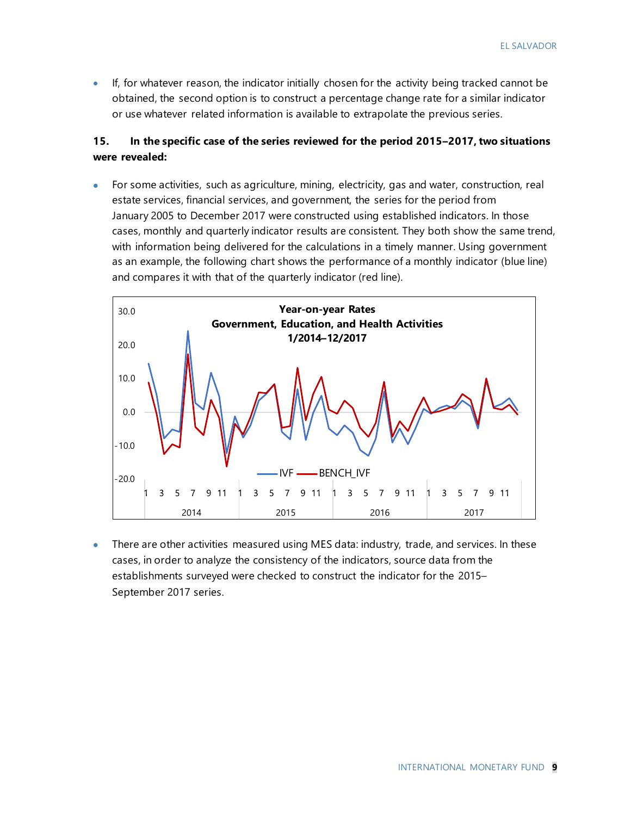• If, for whatever reason, the indicator initially chosen for the activity being tracked cannot be obtained, the second option is to construct a percentage change rate for a similar indicator or use whatever related information is available to extrapolate the previous series.

#### **15. In the specific case of the series reviewed for the period 2015–2017, two situations were revealed:**

• For some activities, such as agriculture, mining, electricity, gas and water, construction, real estate services, financial services, and government, the series for the period from January 2005 to December 2017 were constructed using established indicators. In those cases, monthly and quarterly indicator results are consistent. They both show the same trend, with information being delivered for the calculations in a timely manner. Using government as an example, the following chart shows the performance of a monthly indicator (blue line) and compares it with that of the quarterly indicator (red line).



• There are other activities measured using MES data: industry, trade, and services. In these cases, in order to analyze the consistency of the indicators, source data from the establishments surveyed were checked to construct the indicator for the 2015– September 2017 series.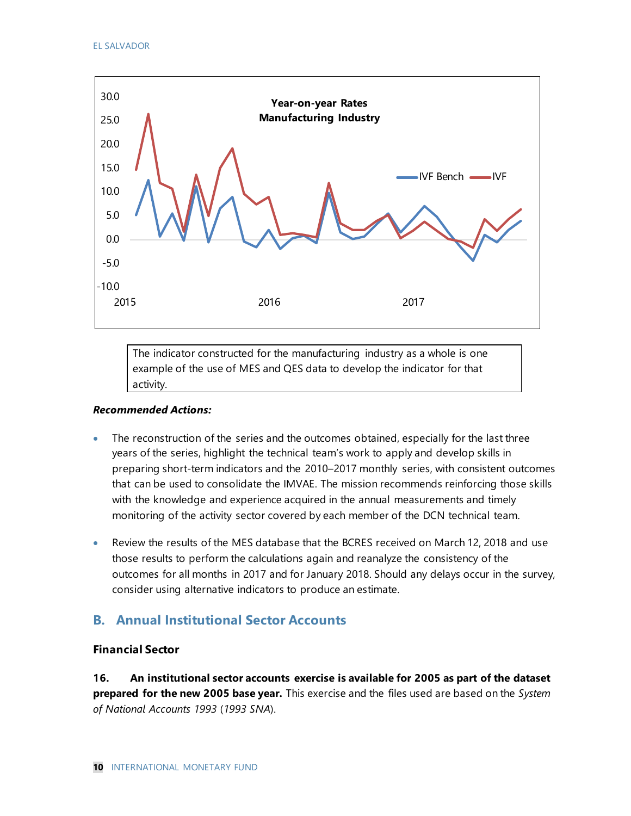

The indicator constructed for the manufacturing industry as a whole is one example of the use of MES and QES data to develop the indicator for that activity.

#### *Recommended Actions:*

- The reconstruction of the series and the outcomes obtained, especially for the last three years of the series, highlight the technical team's work to apply and develop skills in preparing short-term indicators and the 2010–2017 monthly series, with consistent outcomes that can be used to consolidate the IMVAE. The mission recommends reinforcing those skills with the knowledge and experience acquired in the annual measurements and timely monitoring of the activity sector covered by each member of the DCN technical team.
- Review the results of the MES database that the BCRES received on March 12, 2018 and use those results to perform the calculations again and reanalyze the consistency of the outcomes for all months in 2017 and for January 2018. Should any delays occur in the survey, consider using alternative indicators to produce an estimate.

### **B. Annual Institutional Sector Accounts**

#### **Financial Sector**

**16. An institutional sector accounts exercise is available for 2005 as part of the dataset prepared for the new 2005 base year.** This exercise and the files used are based on the *System of National Accounts 1993* (*1993 SNA*).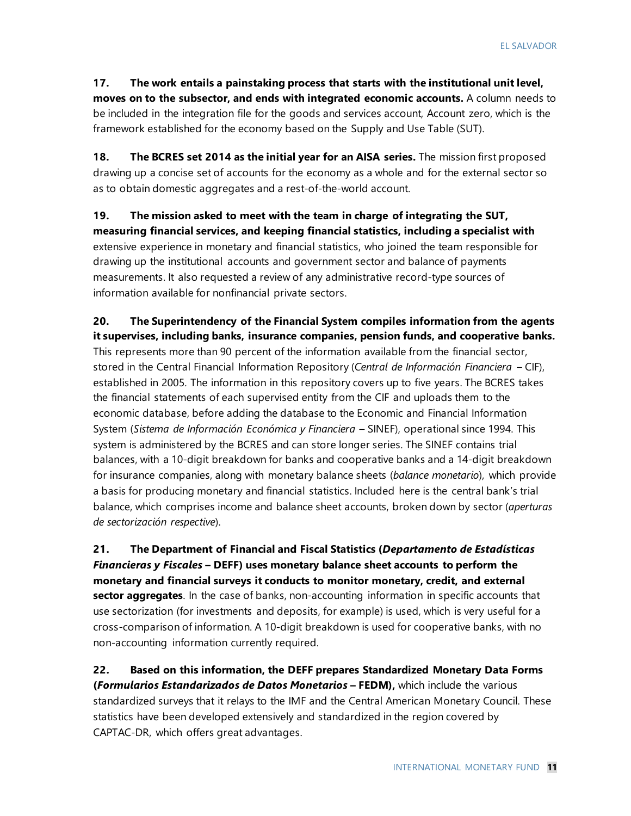**17. The work entails a painstaking process that starts with the institutional unit level, moves on to the subsector, and ends with integrated economic accounts.** A column needs to be included in the integration file for the goods and services account, Account zero, which is the framework established for the economy based on the Supply and Use Table (SUT).

**18. The BCRES set 2014 as the initial year for an AISA series.** The mission first proposed drawing up a concise set of accounts for the economy as a whole and for the external sector so as to obtain domestic aggregates and a rest-of-the-world account.

**19. The mission asked to meet with the team in charge of integrating the SUT, measuring financial services, and keeping financial statistics, including a specialist with**  extensive experience in monetary and financial statistics, who joined the team responsible for drawing up the institutional accounts and government sector and balance of payments measurements. It also requested a review of any administrative record-type sources of information available for nonfinancial private sectors.

**20. The Superintendency of the Financial System compiles information from the agents it supervises, including banks, insurance companies, pension funds, and cooperative banks.**  This represents more than 90 percent of the information available from the financial sector, stored in the Central Financial Information Repository (*Central de Información Financiera* – CIF), established in 2005. The information in this repository covers up to five years. The BCRES takes the financial statements of each supervised entity from the CIF and uploads them to the economic database, before adding the database to the Economic and Financial Information System (*Sistema de Información Económica y Financiera* – SINEF), operational since 1994. This system is administered by the BCRES and can store longer series. The SINEF contains trial balances, with a 10-digit breakdown for banks and cooperative banks and a 14-digit breakdown for insurance companies, along with monetary balance sheets (*balance monetario*), which provide a basis for producing monetary and financial statistics. Included here is the central bank's trial balance, which comprises income and balance sheet accounts, broken down by sector (*aperturas de sectorización respective*).

**21. The Department of Financial and Fiscal Statistics (***Departamento de Estadísticas Financieras y Fiscales* **– DEFF) uses monetary balance sheet accounts to perform the monetary and financial surveys it conducts to monitor monetary, credit, and external sector aggregates**. In the case of banks, non-accounting information in specific accounts that use sectorization (for investments and deposits, for example) is used, which is very useful for a cross-comparison of information. A 10-digit breakdown is used for cooperative banks, with no non-accounting information currently required.

**22. Based on this information, the DEFF prepares Standardized Monetary Data Forms (***Formularios Estandarizados de Datos Monetarios* **– FEDM),** which include the various standardized surveys that it relays to the IMF and the Central American Monetary Council. These statistics have been developed extensively and standardized in the region covered by CAPTAC-DR, which offers great advantages.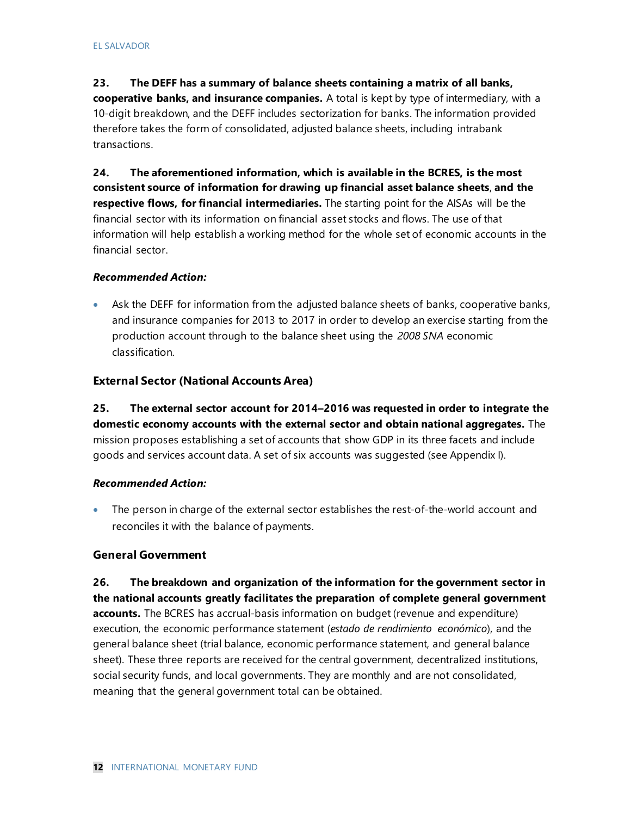#### **23. The DEFF has a summary of balance sheets containing a matrix of all banks,**

**cooperative banks, and insurance companies.** A total is kept by type of intermediary, with a 10-digit breakdown, and the DEFF includes sectorization for banks. The information provided therefore takes the form of consolidated, adjusted balance sheets, including intrabank transactions.

**24. The aforementioned information, which is available in the BCRES, is the most consistent source of information for drawing up financial asset balance sheets**, **and the respective flows, for financial intermediaries.** The starting point for the AISAs will be the financial sector with its information on financial asset stocks and flows. The use of that information will help establish a working method for the whole set of economic accounts in the financial sector.

#### *Recommended Action:*

• Ask the DEFF for information from the adjusted balance sheets of banks, cooperative banks, and insurance companies for 2013 to 2017 in order to develop an exercise starting from the production account through to the balance sheet using the *2008 SNA* economic classification.

#### **External Sector (National Accounts Area)**

**25. The external sector account for 2014–2016 was requested in order to integrate the domestic economy accounts with the external sector and obtain national aggregates.** The mission proposes establishing a set of accounts that show GDP in its three facets and include goods and services account data. A set of six accounts was suggested (see Appendix I).

#### *Recommended Action:*

• The person in charge of the external sector establishes the rest-of-the-world account and reconciles it with the balance of payments.

#### **General Government**

**26. The breakdown and organization of the information for the government sector in the national accounts greatly facilitates the preparation of complete general government accounts.** The BCRES has accrual-basis information on budget (revenue and expenditure) execution, the economic performance statement (*estado de rendimiento económico*), and the general balance sheet (trial balance, economic performance statement, and general balance sheet). These three reports are received for the central government, decentralized institutions, social security funds, and local governments. They are monthly and are not consolidated, meaning that the general government total can be obtained.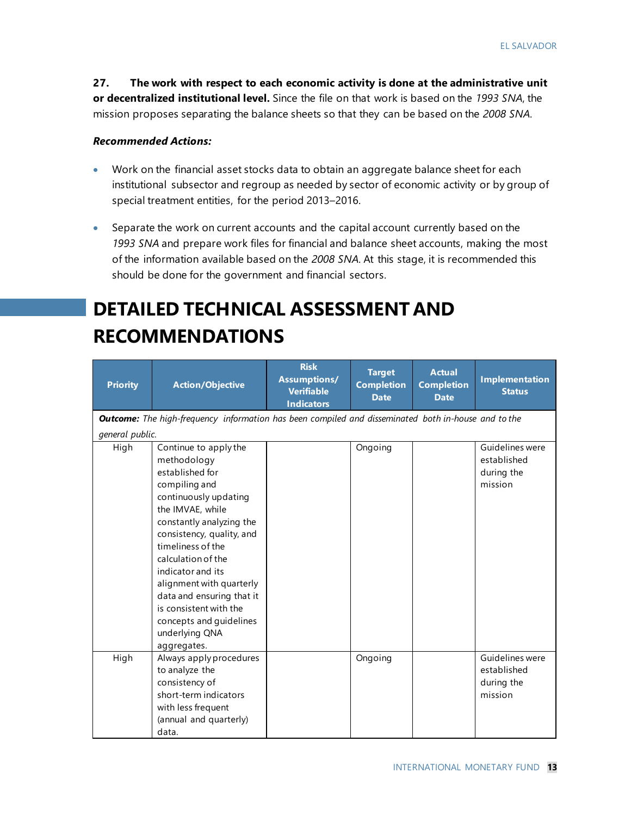**27. The work with respect to each economic activity is done at the administrative unit or decentralized institutional level.** Since the file on that work is based on the *1993 SNA*, the mission proposes separating the balance sheets so that they can be based on the *2008 SNA*.

#### *Recommended Actions:*

- Work on the financial asset stocks data to obtain an aggregate balance sheet for each institutional subsector and regroup as needed by sector of economic activity or by group of special treatment entities, for the period 2013–2016.
- Separate the work on current accounts and the capital account currently based on the *1993 SNA* and prepare work files for financial and balance sheet accounts, making the most of the information available based on the *2008 SNA*. At this stage, it is recommended this should be done for the government and financial sectors.

# **DETAILED TECHNICAL ASSESSMENT AND RECOMMENDATIONS**

| <b>Priority</b> | <b>Action/Objective</b>                                                                                                                                                                                                                                                                                                                                                                       | <b>Risk</b><br><b>Assumptions/</b><br><b>Verifiable</b><br><b>Indicators</b> | <b>Target</b><br><b>Completion</b><br><b>Date</b> | <b>Actual</b><br><b>Completion</b><br><b>Date</b> | <b>Implementation</b><br><b>Status</b>                  |
|-----------------|-----------------------------------------------------------------------------------------------------------------------------------------------------------------------------------------------------------------------------------------------------------------------------------------------------------------------------------------------------------------------------------------------|------------------------------------------------------------------------------|---------------------------------------------------|---------------------------------------------------|---------------------------------------------------------|
|                 | <b>Outcome:</b> The high-frequency information has been compiled and disseminated both in-house and to the                                                                                                                                                                                                                                                                                    |                                                                              |                                                   |                                                   |                                                         |
| general public. |                                                                                                                                                                                                                                                                                                                                                                                               |                                                                              |                                                   |                                                   |                                                         |
| High            | Continue to apply the<br>methodology<br>established for<br>compiling and<br>continuously updating<br>the IMVAE, while<br>constantly analyzing the<br>consistency, quality, and<br>timeliness of the<br>calculation of the<br>indicator and its<br>alignment with quarterly<br>data and ensuring that it<br>is consistent with the<br>concepts and guidelines<br>underlying QNA<br>aggregates. |                                                                              | Ongoing                                           |                                                   | Guidelines were<br>established<br>during the<br>mission |
| High            | Always apply procedures<br>to analyze the<br>consistency of<br>short-term indicators<br>with less frequent<br>(annual and quarterly)<br>data.                                                                                                                                                                                                                                                 |                                                                              | Ongoing                                           |                                                   | Guidelines were<br>established<br>during the<br>mission |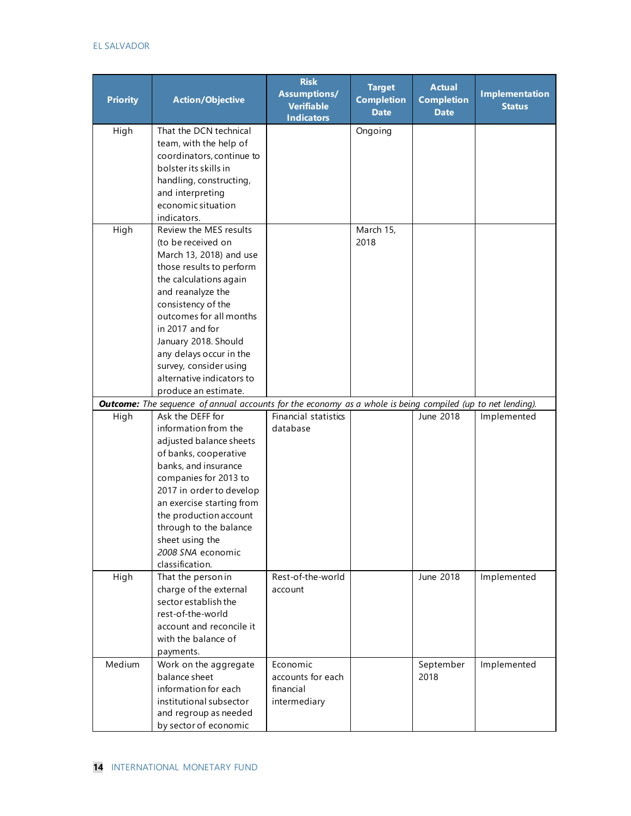#### EL SALVADOR

| <b>Priority</b> | <b>Action/Objective</b>                                                                                           | <b>Risk</b><br><b>Assumptions/</b><br><b>Verifiable</b><br><b>Indicators</b> | <b>Target</b><br><b>Completion</b><br><b>Date</b> | <b>Actual</b><br><b>Completion</b><br><b>Date</b> | <b>Implementation</b><br><b>Status</b> |
|-----------------|-------------------------------------------------------------------------------------------------------------------|------------------------------------------------------------------------------|---------------------------------------------------|---------------------------------------------------|----------------------------------------|
| High            | That the DCN technical<br>team, with the help of<br>coordinators, continue to                                     |                                                                              | Ongoing                                           |                                                   |                                        |
|                 | bolster its skills in<br>handling, constructing,<br>and interpreting                                              |                                                                              |                                                   |                                                   |                                        |
|                 | economic situation<br>indicators.                                                                                 |                                                                              |                                                   |                                                   |                                        |
| High            | Review the MES results                                                                                            |                                                                              | March 15,                                         |                                                   |                                        |
|                 | (to be received on                                                                                                |                                                                              | 2018                                              |                                                   |                                        |
|                 | March 13, 2018) and use                                                                                           |                                                                              |                                                   |                                                   |                                        |
|                 | those results to perform                                                                                          |                                                                              |                                                   |                                                   |                                        |
|                 | the calculations again                                                                                            |                                                                              |                                                   |                                                   |                                        |
|                 | and reanalyze the                                                                                                 |                                                                              |                                                   |                                                   |                                        |
|                 | consistency of the<br>outcomes for all months                                                                     |                                                                              |                                                   |                                                   |                                        |
|                 | in 2017 and for                                                                                                   |                                                                              |                                                   |                                                   |                                        |
|                 | January 2018. Should                                                                                              |                                                                              |                                                   |                                                   |                                        |
|                 | any delays occur in the                                                                                           |                                                                              |                                                   |                                                   |                                        |
|                 | survey, consider using                                                                                            |                                                                              |                                                   |                                                   |                                        |
|                 | alternative indicators to                                                                                         |                                                                              |                                                   |                                                   |                                        |
|                 | produce an estimate.                                                                                              |                                                                              |                                                   |                                                   |                                        |
|                 | <b>Outcome:</b> The sequence of annual accounts for the economy as a whole is being compiled (up to net lending). |                                                                              |                                                   |                                                   |                                        |
| High            | Ask the DEFF for                                                                                                  | Financial statistics                                                         |                                                   | June 2018                                         | Implemented                            |
|                 | information from the                                                                                              | database                                                                     |                                                   |                                                   |                                        |
|                 | adjusted balance sheets<br>of banks, cooperative                                                                  |                                                                              |                                                   |                                                   |                                        |
|                 | banks, and insurance                                                                                              |                                                                              |                                                   |                                                   |                                        |
|                 | companies for 2013 to                                                                                             |                                                                              |                                                   |                                                   |                                        |
|                 | 2017 in order to develop                                                                                          |                                                                              |                                                   |                                                   |                                        |
|                 | an exercise starting from                                                                                         |                                                                              |                                                   |                                                   |                                        |
|                 | the production account                                                                                            |                                                                              |                                                   |                                                   |                                        |
|                 | through to the balance                                                                                            |                                                                              |                                                   |                                                   |                                        |
|                 | sheet using the                                                                                                   |                                                                              |                                                   |                                                   |                                        |
|                 | 2008 SNA economic                                                                                                 |                                                                              |                                                   |                                                   |                                        |
|                 | classification.                                                                                                   |                                                                              |                                                   |                                                   |                                        |
| High            | That the person in<br>charge of the external                                                                      | Rest-of-the-world<br>account                                                 |                                                   | June 2018                                         | Implemented                            |
|                 | sector establish the                                                                                              |                                                                              |                                                   |                                                   |                                        |
|                 | rest-of-the-world                                                                                                 |                                                                              |                                                   |                                                   |                                        |
|                 | account and reconcile it                                                                                          |                                                                              |                                                   |                                                   |                                        |
|                 | with the balance of                                                                                               |                                                                              |                                                   |                                                   |                                        |
|                 | payments.                                                                                                         |                                                                              |                                                   |                                                   |                                        |
| Medium          | Work on the aggregate                                                                                             | Economic                                                                     |                                                   | September                                         | Implemented                            |
|                 | balance sheet                                                                                                     | accounts for each                                                            |                                                   | 2018                                              |                                        |
|                 | information for each                                                                                              | financial                                                                    |                                                   |                                                   |                                        |
|                 | institutional subsector                                                                                           | intermediary                                                                 |                                                   |                                                   |                                        |
|                 | and regroup as needed                                                                                             |                                                                              |                                                   |                                                   |                                        |
|                 | by sector of economic                                                                                             |                                                                              |                                                   |                                                   |                                        |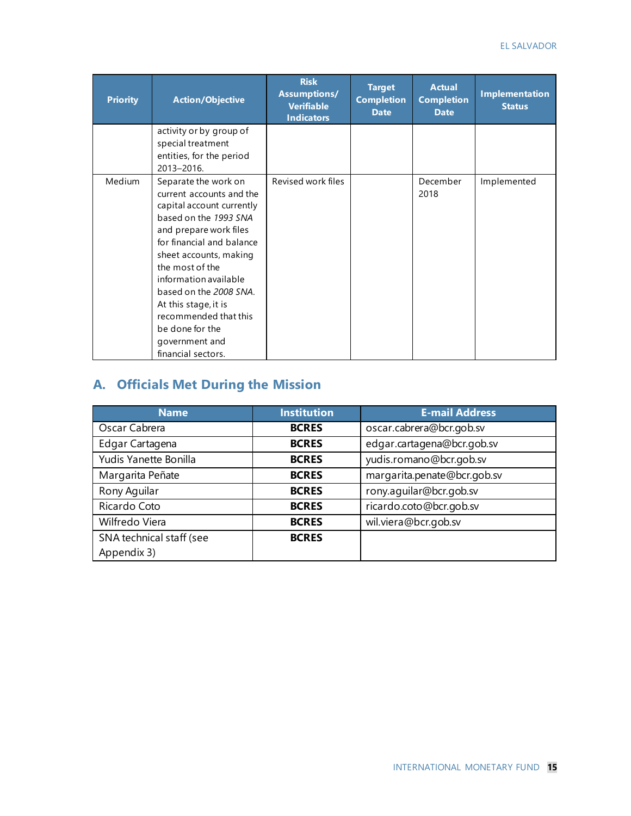| <b>Priority</b> | <b>Action/Objective</b>                                                                                                                                                                                                                                                                                                                                                   | <b>Risk</b><br><b>Assumptions/</b><br><b>Verifiable</b><br><b>Indicators</b> | <b>Target</b><br><b>Completion</b><br><b>Date</b> | <b>Actual</b><br><b>Completion</b><br><b>Date</b> | <b>Implementation</b><br><b>Status</b> |
|-----------------|---------------------------------------------------------------------------------------------------------------------------------------------------------------------------------------------------------------------------------------------------------------------------------------------------------------------------------------------------------------------------|------------------------------------------------------------------------------|---------------------------------------------------|---------------------------------------------------|----------------------------------------|
|                 | activity or by group of<br>special treatment<br>entities, for the period<br>2013-2016.                                                                                                                                                                                                                                                                                    |                                                                              |                                                   |                                                   |                                        |
| <b>Medium</b>   | Separate the work on<br>current accounts and the<br>capital account currently<br>based on the 1993 SNA<br>and prepare work files<br>for financial and balance<br>sheet accounts, making<br>the most of the<br>information available<br>based on the 2008 SNA.<br>At this stage, it is<br>recommended that this<br>be done for the<br>government and<br>financial sectors. | Revised work files                                                           |                                                   | December<br>2018                                  | Implemented                            |

# **A. Officials Met During the Mission**

| <b>Name</b>              | <b>Institution</b> | <b>E-mail Address</b>       |  |  |
|--------------------------|--------------------|-----------------------------|--|--|
| Oscar Cabrera            | <b>BCRES</b>       | oscar.cabrera@bcr.gob.sv    |  |  |
| Edgar Cartagena          | <b>BCRES</b>       | edgar.cartagena@bcr.gob.sv  |  |  |
| Yudis Yanette Bonilla    | <b>BCRES</b>       | yudis.romano@bcr.gob.sv     |  |  |
| Margarita Peñate         | <b>BCRES</b>       | margarita.penate@bcr.gob.sv |  |  |
| Rony Aguilar             | <b>BCRES</b>       | rony.aguilar@bcr.gob.sv     |  |  |
| Ricardo Coto             | <b>BCRES</b>       | ricardo.coto@bcr.gob.sv     |  |  |
| Wilfredo Viera           | <b>BCRES</b>       | wil.viera@bcr.gob.sv        |  |  |
| SNA technical staff (see | <b>BCRES</b>       |                             |  |  |
| Appendix 3)              |                    |                             |  |  |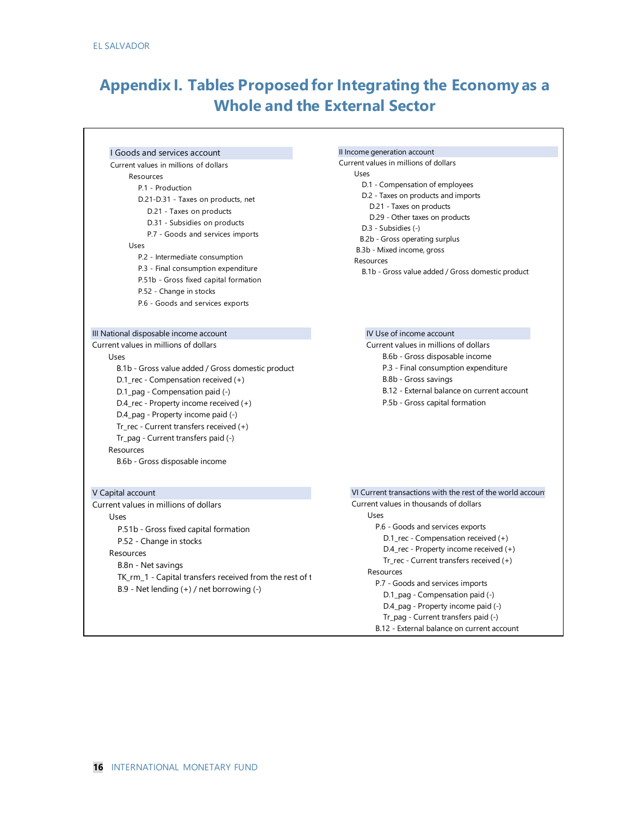# **Appendix I. Tables Proposed for Integrating the Economy as a Whole and the External Sector**

#### I Goods and services account Current values in millions of dollars

#### Resources

 P.1 - Production D.21-D.31 - Taxes on products, net D.21 - Taxes on products D.31 - Subsidies on products P.7 - Goods and services imports Uses P.2 - Intermediate consumption P.3 - Final consumption expenditure P.51b - Gross fixed capital formation P.52 - Change in stocks P.6 - Goods and services exports

#### III National disposable income account

Current values in millions of dollars Uses B.1b - Gross value added / Gross domestic product D.1\_rec - Compensation received (+) D.1\_pag - Compensation paid (-) D.4\_rec - Property income received (+) D.4\_pag - Property income paid (-) Tr\_rec - Current transfers received (+) Tr\_pag - Current transfers paid (-) Resources B.6b - Gross disposable income

#### V Capital account

Current values in millions of dollars Uses P.51b - Gross fixed capital formation P.52 - Change in stocks **Resources**  B.8n - Net savings TK\_rm\_1 - Capital transfers received from the rest of t B.9 - Net lending (+) / net borrowing (-)

#### II Income generation account

Current values in millions of dollars Uses D.1 - Compensation of employees D.2 - Taxes on products and imports D.21 - Taxes on products D.29 - Other taxes on products

- D.3 Subsidies (-)
- B.2b Gross operating surplus

B.3b - Mixed income, gross Resources

B.1b - Gross value added / Gross domestic product

#### IV Use of income account

- Current values in millions of dollars
	- B.6b Gross disposable income
	- P.3 Final consumption expenditure
	- B.8b Gross savings
	- B.12 External balance on current account
	- P.5b Gross capital formation

#### VI Current transactions with the rest of the world account

Current values in thousands of dollars Uses P.6 - Goods and services exports D.1\_rec - Compensation received (+) D.4\_rec - Property income received (+) Tr\_rec - Current transfers received (+) Resources P.7 - Goods and services imports D.1\_pag - Compensation paid (-) D.4\_pag - Property income paid (-) Tr\_pag - Current transfers paid (-) B.12 - External balance on current account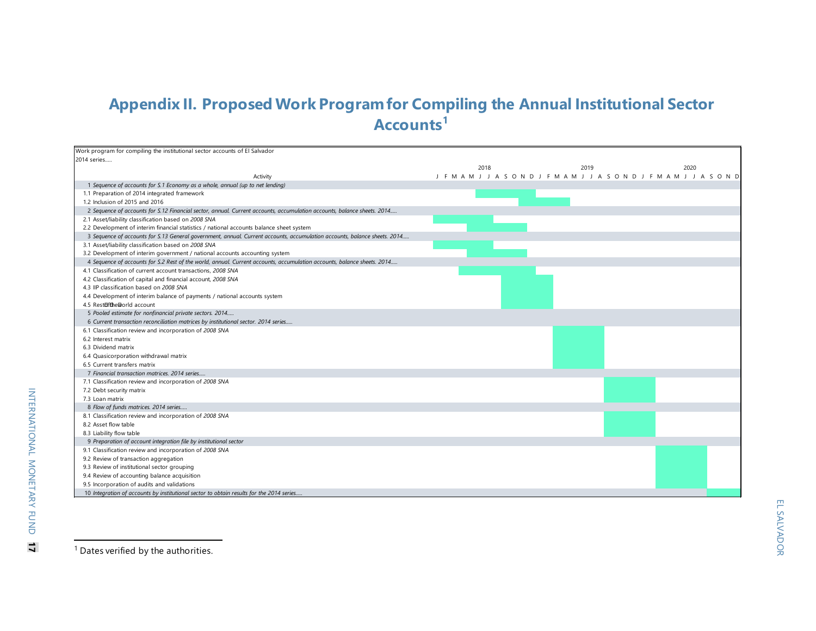# <span id="page-17-0"></span>**Appendix II. Proposed Work Program for Compiling the Annual Institutional Sector Accounts[1](#page-17-0)**

| Work program for compiling the institutional sector accounts of El Salvador                                               |      |                                                                         |      |
|---------------------------------------------------------------------------------------------------------------------------|------|-------------------------------------------------------------------------|------|
| 2014 series                                                                                                               |      |                                                                         |      |
|                                                                                                                           | 2018 | 2019                                                                    | 2020 |
| Activity                                                                                                                  |      | J F M A M J J A S O N D J F M A M J J A S O N D J F M A M J J A S O N D |      |
| 1 Sequence of accounts for S.1 Economy as a whole, annual (up to net lending)                                             |      |                                                                         |      |
| 1.1 Preparation of 2014 integrated framework                                                                              |      |                                                                         |      |
| 1.2 Inclusion of 2015 and 2016                                                                                            |      |                                                                         |      |
| 2 Sequence of accounts for S.12 Financial sector, annual. Current accounts, accumulation accounts, balance sheets. 2014   |      |                                                                         |      |
| 2.1 Asset/liability classification based on 2008 SNA                                                                      |      |                                                                         |      |
| 2.2 Development of interim financial statistics / national accounts balance sheet system                                  |      |                                                                         |      |
| 3 Sequence of accounts for S.13 General government, annual. Current accounts, accumulation accounts, balance sheets. 2014 |      |                                                                         |      |
| 3.1 Asset/liability classification based on 2008 SNA                                                                      |      |                                                                         |      |
| 3.2 Development of interim government / national accounts accounting system                                               |      |                                                                         |      |
| 4 Sequence of accounts for S.2 Rest of the world, annual. Current accounts, accumulation accounts, balance sheets. 2014   |      |                                                                         |      |
| 4.1 Classification of current account transactions, 2008 SNA                                                              |      |                                                                         |      |
| 4.2 Classification of capital and financial account, 2008 SNA                                                             |      |                                                                         |      |
| 4.3 IIP classification based on 2008 SNA                                                                                  |      |                                                                         |      |
| 4.4 Development of interim balance of payments / national accounts system                                                 |      |                                                                         |      |
| 4.5 Restofthe@orld account                                                                                                |      |                                                                         |      |
| 5 Pooled estimate for nonfinancial private sectors. 2014                                                                  |      |                                                                         |      |
| 6 Current transaction reconciliation matrices by institutional sector. 2014 series                                        |      |                                                                         |      |
| 6.1 Classification review and incorporation of 2008 SNA                                                                   |      |                                                                         |      |
| 6.2 Interest matrix                                                                                                       |      |                                                                         |      |
| 6.3 Dividend matrix                                                                                                       |      |                                                                         |      |
| 6.4 Quasicorporation withdrawal matrix                                                                                    |      |                                                                         |      |
| 6.5 Current transfers matrix                                                                                              |      |                                                                         |      |
| 7 Financial transaction matrices, 2014 series                                                                             |      |                                                                         |      |
| 7.1 Classification review and incorporation of 2008 SNA                                                                   |      |                                                                         |      |
| 7.2 Debt security matrix                                                                                                  |      |                                                                         |      |
| 7.3 Loan matrix                                                                                                           |      |                                                                         |      |
| 8 Flow of funds matrices. 2014 series                                                                                     |      |                                                                         |      |
| 8.1 Classification review and incorporation of 2008 SNA                                                                   |      |                                                                         |      |
| 8.2 Asset flow table                                                                                                      |      |                                                                         |      |
| 8.3 Liability flow table                                                                                                  |      |                                                                         |      |
| 9 Preparation of account integration file by institutional sector                                                         |      |                                                                         |      |
| 9.1 Classification review and incorporation of 2008 SNA                                                                   |      |                                                                         |      |
| 9.2 Review of transaction aggregation                                                                                     |      |                                                                         |      |
| 9.3 Review of institutional sector grouping                                                                               |      |                                                                         |      |
| 9.4 Review of accounting balance acquisition                                                                              |      |                                                                         |      |
| 9.5 Incorporation of audits and validations                                                                               |      |                                                                         |      |
| 10 Integration of accounts by institutional sector to obtain results for the 2014 series                                  |      |                                                                         |      |

<sup>1</sup> Dates verified by the authorities.